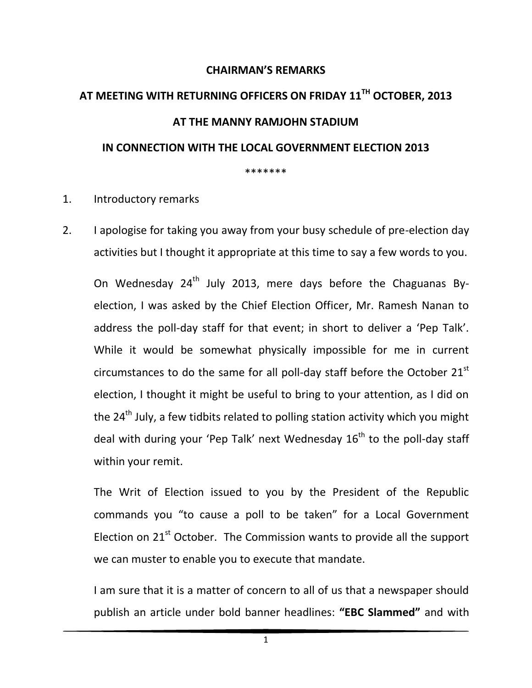## **CHAIRMAN'S REMARKS**

## **AT MEETING WITH RETURNING OFFICERS ON FRIDAY 11TH OCTOBER, 2013 AT THE MANNY RAMJOHN STADIUM IN CONNECTION WITH THE LOCAL GOVERNMENT ELECTION 2013**  \*\*\*\*\*\*\*

## 1. Introductory remarks

2. I apologise for taking you away from your busy schedule of pre-election day activities but I thought it appropriate at this time to say a few words to you.

On Wednesday  $24<sup>th</sup>$  July 2013, mere days before the Chaguanas Byelection, I was asked by the Chief Election Officer, Mr. Ramesh Nanan to address the poll-day staff for that event; in short to deliver a 'Pep Talk'. While it would be somewhat physically impossible for me in current circumstances to do the same for all poll-day staff before the October  $21<sup>st</sup>$ election, I thought it might be useful to bring to your attention, as I did on the  $24^{th}$  July, a few tidbits related to polling station activity which you might deal with during your 'Pep Talk' next Wednesday  $16<sup>th</sup>$  to the poll-day staff within your remit.

The Writ of Election issued to you by the President of the Republic commands you "to cause a poll to be taken" for a Local Government Election on  $21<sup>st</sup>$  October. The Commission wants to provide all the support we can muster to enable you to execute that mandate.

I am sure that it is a matter of concern to all of us that a newspaper should publish an article under bold banner headlines: **"EBC Slammed"** and with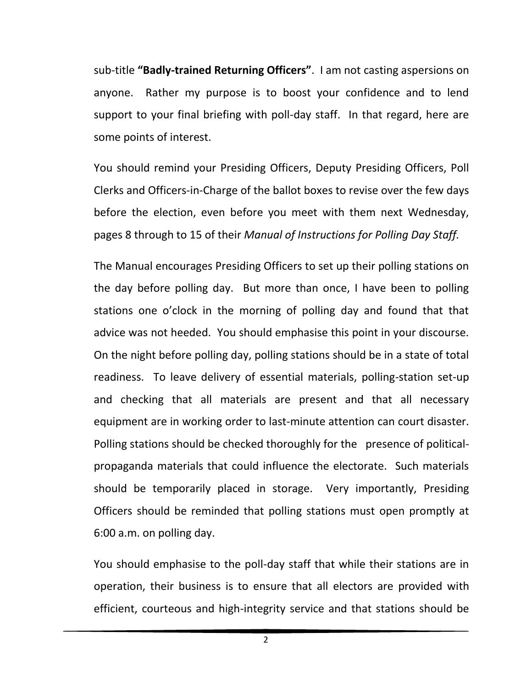sub-title **"Badly-trained Returning Officers"**. I am not casting aspersions on anyone. Rather my purpose is to boost your confidence and to lend support to your final briefing with poll-day staff. In that regard, here are some points of interest.

You should remind your Presiding Officers, Deputy Presiding Officers, Poll Clerks and Officers-in-Charge of the ballot boxes to revise over the few days before the election, even before you meet with them next Wednesday, pages 8 through to 15 of their *Manual of Instructions for Polling Day Staff.*

The Manual encourages Presiding Officers to set up their polling stations on the day before polling day. But more than once, I have been to polling stations one o'clock in the morning of polling day and found that that advice was not heeded. You should emphasise this point in your discourse. On the night before polling day, polling stations should be in a state of total readiness. To leave delivery of essential materials, polling-station set-up and checking that all materials are present and that all necessary equipment are in working order to last-minute attention can court disaster. Polling stations should be checked thoroughly for the presence of politicalpropaganda materials that could influence the electorate. Such materials should be temporarily placed in storage. Very importantly, Presiding Officers should be reminded that polling stations must open promptly at 6:00 a.m. on polling day.

You should emphasise to the poll-day staff that while their stations are in operation, their business is to ensure that all electors are provided with efficient, courteous and high-integrity service and that stations should be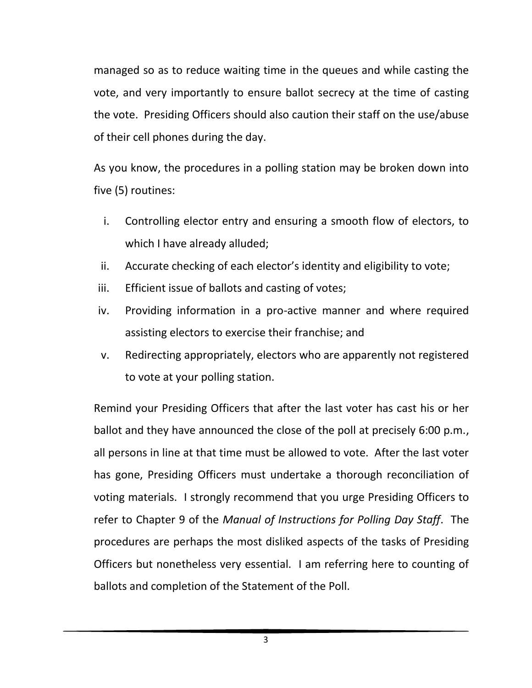managed so as to reduce waiting time in the queues and while casting the vote, and very importantly to ensure ballot secrecy at the time of casting the vote. Presiding Officers should also caution their staff on the use/abuse of their cell phones during the day.

As you know, the procedures in a polling station may be broken down into five (5) routines:

- i. Controlling elector entry and ensuring a smooth flow of electors, to which I have already alluded;
- ii. Accurate checking of each elector's identity and eligibility to vote;
- iii. Efficient issue of ballots and casting of votes;
- iv. Providing information in a pro-active manner and where required assisting electors to exercise their franchise; and
- v. Redirecting appropriately, electors who are apparently not registered to vote at your polling station.

Remind your Presiding Officers that after the last voter has cast his or her ballot and they have announced the close of the poll at precisely 6:00 p.m., all persons in line at that time must be allowed to vote. After the last voter has gone, Presiding Officers must undertake a thorough reconciliation of voting materials. I strongly recommend that you urge Presiding Officers to refer to Chapter 9 of the *Manual of Instructions for Polling Day Staff*. The procedures are perhaps the most disliked aspects of the tasks of Presiding Officers but nonetheless very essential. I am referring here to counting of ballots and completion of the Statement of the Poll.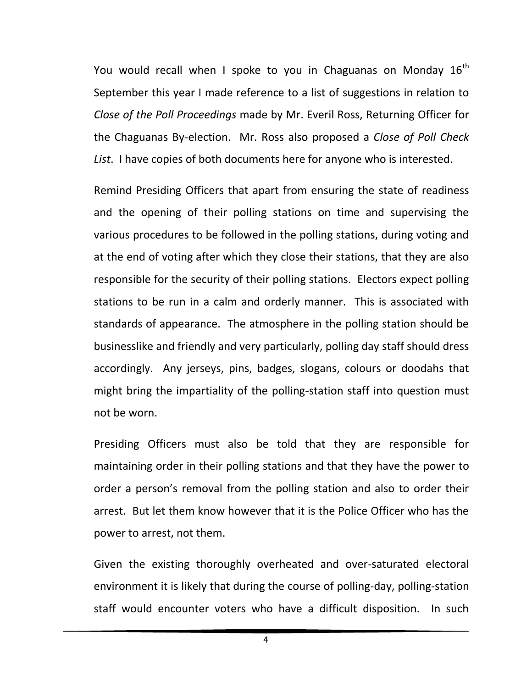You would recall when I spoke to you in Chaguanas on Monday  $16<sup>th</sup>$ September this year I made reference to a list of suggestions in relation to *Close of the Poll Proceedings* made by Mr. Everil Ross, Returning Officer for the Chaguanas By-election. Mr. Ross also proposed a *Close of Poll Check List*. I have copies of both documents here for anyone who is interested.

Remind Presiding Officers that apart from ensuring the state of readiness and the opening of their polling stations on time and supervising the various procedures to be followed in the polling stations, during voting and at the end of voting after which they close their stations, that they are also responsible for the security of their polling stations. Electors expect polling stations to be run in a calm and orderly manner. This is associated with standards of appearance. The atmosphere in the polling station should be businesslike and friendly and very particularly, polling day staff should dress accordingly. Any jerseys, pins, badges, slogans, colours or doodahs that might bring the impartiality of the polling-station staff into question must not be worn.

Presiding Officers must also be told that they are responsible for maintaining order in their polling stations and that they have the power to order a person's removal from the polling station and also to order their arrest. But let them know however that it is the Police Officer who has the power to arrest, not them.

Given the existing thoroughly overheated and over-saturated electoral environment it is likely that during the course of polling-day, polling-station staff would encounter voters who have a difficult disposition. In such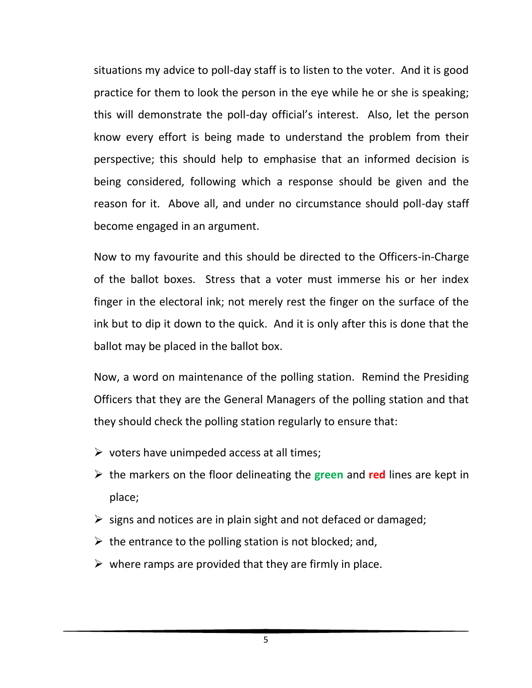situations my advice to poll-day staff is to listen to the voter. And it is good practice for them to look the person in the eye while he or she is speaking; this will demonstrate the poll-day official's interest. Also, let the person know every effort is being made to understand the problem from their perspective; this should help to emphasise that an informed decision is being considered, following which a response should be given and the reason for it. Above all, and under no circumstance should poll-day staff become engaged in an argument.

Now to my favourite and this should be directed to the Officers-in-Charge of the ballot boxes. Stress that a voter must immerse his or her index finger in the electoral ink; not merely rest the finger on the surface of the ink but to dip it down to the quick. And it is only after this is done that the ballot may be placed in the ballot box.

Now, a word on maintenance of the polling station. Remind the Presiding Officers that they are the General Managers of the polling station and that they should check the polling station regularly to ensure that:

- $\triangleright$  voters have unimpeded access at all times;
- the markers on the floor delineating the **green** and **red** lines are kept in place;
- $\triangleright$  signs and notices are in plain sight and not defaced or damaged;
- $\triangleright$  the entrance to the polling station is not blocked; and,
- $\triangleright$  where ramps are provided that they are firmly in place.